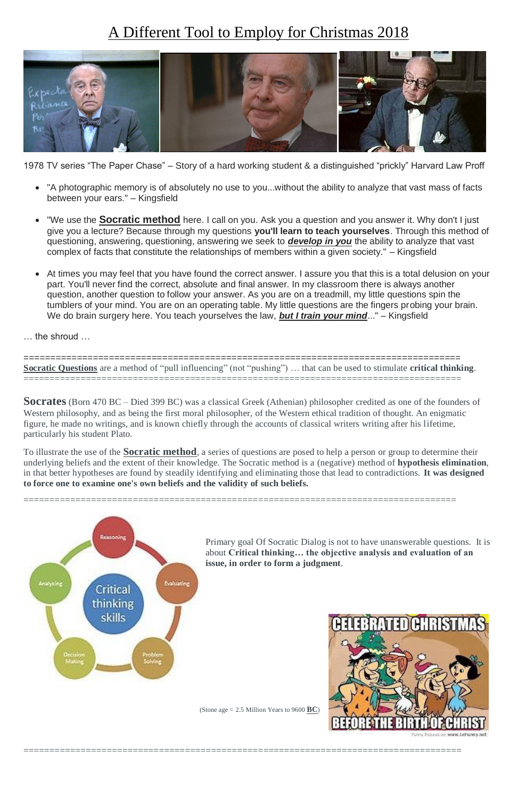# A Different Tool to Employ for Christmas 2018



1978 TV series "The Paper Chase" – Story of a hard working student & a distinguished "prickly" Harvard Law Proff

- "A photographic memory is of absolutely no use to you...without the ability to analyze that vast mass of facts between your ears." – Kingsfield
- "We use the **Socratic method** here. I call on you. Ask you a question and you answer it. Why don't I just give you a lecture? Because through my questions **you'll learn to teach yourselves**. Through this method of questioning, answering, questioning, answering we seek to *develop in you* the ability to analyze that vast complex of facts that constitute the relationships of members within a given society." – Kingsfield
- At times you may feel that you have found the correct answer. I assure you that this is a total delusion on your part. You'll never find the correct, absolute and final answer. In my classroom there is always another question, another question to follow your answer. As you are on a treadmill, my little questions spin the tumblers of your mind. You are on an operating table. My little questions are the fingers probing your brain. We do brain surgery here. You teach yourselves the law, *but I train your mind*..." – Kingsfield

… the shroud …

================================================================================== **Socratic Questions** are a method of "pull influencing" (not "pushing") … that can be used to stimulate **critical thinking**.

====================================================================================

**Socrates** (Born 470 BC – Died 399 BC) was a classical Greek (Athenian) philosopher credited as one of the founders of Western philosophy, and as being the first moral philosopher, of the Western ethical tradition of thought. An enigmatic figure, he made no writings, and is known chiefly through the accounts of classical writers writing after his lifetime, particularly his student Plato.

To illustrate the use of the **Socratic method**, a series of questions are posed to help a person or group to determine their underlying beliefs and the extent of their knowledge. The Socratic method is a (negative) method of **hypothesis elimination**, in that better hypotheses are found by steadily identifying and eliminating those that lead to contradictions. **It was designed to force one to examine one's own beliefs and the validity of such beliefs.**

===================================================================================



Primary goal Of Socratic Dialog is not to have unanswerable questions. It is about **Critical thinking… the objective analysis and evaluation of an issue, in order to form a judgment**.



(Stone age = 2.5 Million Years to 9600 **BC**)

====================================================================================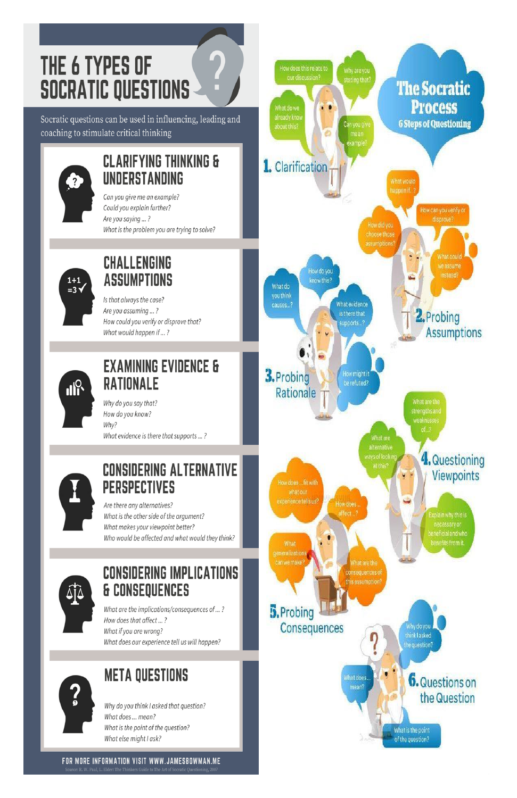# THE 6 TYPES OF **SOCRATIC QUESTIONS**

Socratic questions can be used in influencing, leading and coaching to stimulate critical thinking



# **CLARIFYING THINKING &** UNDERSTANDING

 $\overline{\mathbf{2}}$ 

Can you give me an example? Could you explain further? Are you saying ...? What is the problem you are trying to solve?



# **CHALLENGING ASSUMPTIONS**

Is that always the case? Are you assuming ...? How could you verify or disprove that? What would happen if ...?



# **EXAMINING EVIDENCE & RATIONALE**

Why do you say that? How do you know? Why? What evidence is there that supports ...?



# **CONSIDERING ALTERNATIVE PERSPECTIVES**

Are there any alternatives? What is the other side of the argument? What makes your viewpoint better? Who would be affected and what would they think?

# **CONSIDERING IMPLICATIONS & CONSEQUENCES**





What are the implications/consequences of ...? How does that affect ...? What if you are wrong? What does our experience tell us will happen?



# **META QUESTIONS**

Why do you think I asked that question? What does ... mean? What is the point of the question? What else might I ask?

#### FOR MORE INFORMATION VISIT WWW.JAMESBOWMAN.ME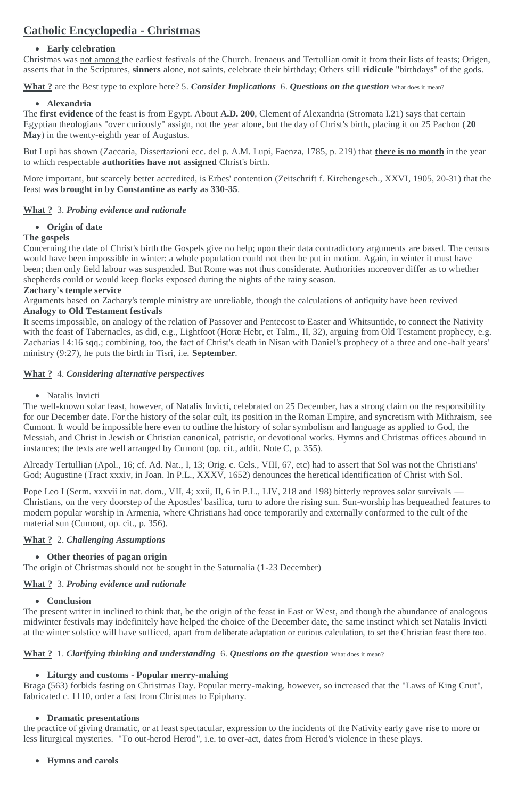# **Catholic Encyclopedia - Christmas**

### **Early celebration**

Christmas was not among the earliest festivals of the Church. Irenaeus and Tertullian omit it from their lists of feasts; Origen, asserts that in the Scriptures, **sinners** alone, not saints, celebrate their birthday; Others still **ridicule** "birthdays" of the gods.

**What ?** are the Best type to explore here? 5. *Consider Implications* 6. *Questions on the question* What does it mean?

### **Alexandria**

The **first evidence** of the feast is from Egypt. About **A.D. 200**, Clement of Alexandria (Stromata I.21) says that certain Egyptian theologians "over curiously" assign, not the year alone, but the day of Christ's birth, placing it on 25 Pachon (**20 May**) in the twenty-eighth year of Augustus.

But Lupi has shown (Zaccaria, Dissertazioni ecc. del p. A.M. Lupi, Faenza, 1785, p. 219) that **there is no month** in the year to which respectable **authorities have not assigned** Christ's birth.

More important, but scarcely better accredited, is Erbes' contention (Zeitschrift f. Kirchengesch., XXVI, 1905, 20-31) that the feast **was brought in by Constantine as early as 330-35**.

# **What ?** 3. *Probing evidence and rationale*

### **Origin of date**

### **The gospels**

Concerning the date of Christ's birth the Gospels give no help; upon their data contradictory arguments are based. The census would have been impossible in winter: a whole population could not then be put in motion. Again, in winter it must have been; then only field labour was suspended. But Rome was not thus considerate. Authorities moreover differ as to whether shepherds could or would keep flocks exposed during the nights of the rainy season.

### **Zachary's temple service**

Arguments based on Zachary's temple ministry are unreliable, though the calculations of antiquity have been revived **Analogy to Old Testament festivals**

Pope Leo I (Serm. xxxvii in nat. dom., VII, 4; xxii, II, 6 in P.L., LIV, 218 and 198) bitterly reproves solar survivals — Christians, on the very doorstep of the Apostles' basilica, turn to adore the rising sun. Sun-worship has bequeathed features to modern popular worship in Armenia, where Christians had once temporarily and externally conformed to the cult of the material sun (Cumont, op. cit., p. 356).

It seems impossible, on analogy of the relation of Passover and Pentecost to Easter and Whitsuntide, to connect the Nativity with the feast of Tabernacles, as did, e.g., Lightfoot (Horæ Hebr, et Talm., II, 32), arguing from Old Testament prophecy, e.g. Zacharias 14:16 sqq.; combining, too, the fact of Christ's death in Nisan with Daniel's prophecy of a three and one -half years' ministry (9:27), he puts the birth in Tisri, i.e. **September**.

# **What ?** 4. *Considering alternative perspectives*

• Natalis Invicti

The well-known solar feast, however, of Natalis Invicti, celebrated on 25 December, has a strong claim on the responsibility for our December date. For the history of the solar cult, its position in the Roman Empire, and syncretism with Mithraism, see Cumont. It would be impossible here even to outline the history of solar symbolism and language as applied to God, the Messiah, and Christ in Jewish or Christian canonical, patristic, or devotional works. Hymns and Christmas offices abound in instances; the texts are well arranged by Cumont (op. cit., addit. Note C, p. 355).

Already Tertullian (Apol., 16; cf. Ad. Nat., I, 13; Orig. c. Cels., VIII, 67, etc) had to assert that Sol was not the Christi ans' God; Augustine (Tract xxxiv, in Joan. In P.L., XXXV, 1652) denounces the heretical identification of Christ with Sol.

# **What ?** 2. *Challenging Assumptions*

# **Other theories of pagan origin**

The origin of Christmas should not be sought in the Saturnalia (1-23 December)

### **What ?** 3. *Probing evidence and rationale*

#### **Conclusion**

The present writer in inclined to think that, be the origin of the feast in East or West, and though the abundance of analogous midwinter festivals may indefinitely have helped the choice of the December date, the same instinct which set Natalis Invicti at the winter solstice will have sufficed, apart from deliberate adaptation or curious calculation, to set the Christian feast there too.

#### **What ?** 1. *Clarifying thinking and understanding* 6. *Questions on the question* What does it mean?

#### **Liturgy and customs - Popular merry-making**

Braga (563) forbids fasting on Christmas Day. Popular merry-making, however, so increased that the "Laws of King Cnut", fabricated c. 1110, order a fast from Christmas to Epiphany.

#### **Dramatic presentations**

the practice of giving dramatic, or at least spectacular, expression to the incidents of the Nativity early gave rise to more or less liturgical mysteries. "To out-herod Herod", i.e. to over-act, dates from Herod's violence in these plays.

#### **Hymns and carols**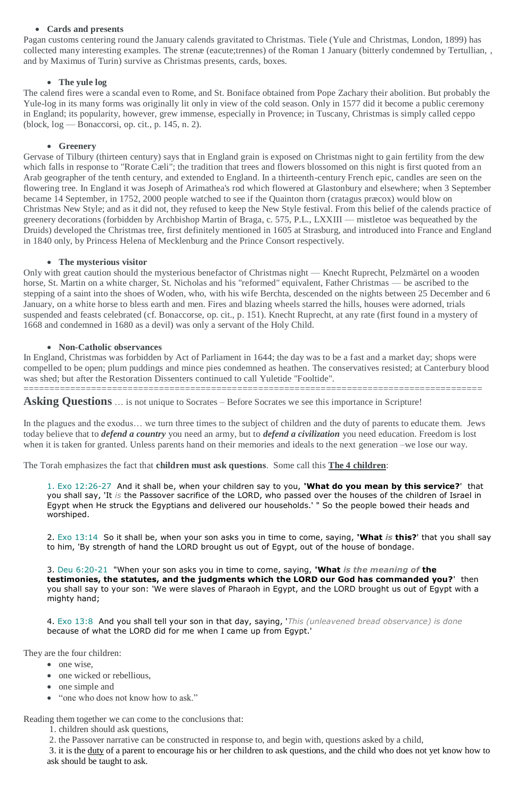#### **Cards and presents**

Pagan customs centering round the January calends gravitated to Christmas. Tiele (Yule and Christmas, London, 1899) has collected many interesting examples. The strenæ (eacute;trennes) of the Roman 1 January (bitterly condemned by Tertullian, , and by Maximus of Turin) survive as Christmas presents, cards, boxes.

#### **The yule log**

The calend fires were a scandal even to Rome, and St. Boniface obtained from Pope Zachary their abolition. But probably the Yule-log in its many forms was originally lit only in view of the cold season. Only in 1577 did it become a public ceremony in England; its popularity, however, grew immense, especially in Provence; in Tuscany, Christmas is simply called ceppo (block, log — Bonaccorsi, op. cit., p. 145, n. 2).

#### **Greenery**

Gervase of Tilbury (thirteen century) says that in England grain is exposed on Christmas night to gain fertility from the dew which falls in response to "Rorate Cæli"; the tradition that trees and flowers blossomed on this night is first quoted from an Arab geographer of the tenth century, and extended to England. In a thirteenth-century French epic, candles are seen on the flowering tree. In England it was Joseph of Arimathea's rod which flowered at Glastonbury and elsewhere; when 3 September became 14 September, in 1752, 2000 people watched to see if the Quainton thorn (cratagus præcox) would blow on Christmas New Style; and as it did not, they refused to keep the New Style festival. From this belief of the calends practice of greenery decorations (forbidden by Archbishop Martin of Braga, c. 575, P.L., LXXIII — mistletoe was bequeathed by the Druids) developed the Christmas tree, first definitely mentioned in 1605 at Strasburg, and introduced into France and England in 1840 only, by Princess Helena of Mecklenburg and the Prince Consort respectively.

#### **The mysterious visitor**

Only with great caution should the mysterious benefactor of Christmas night — Knecht Ruprecht, Pelzmärtel on a wooden horse, St. Martin on a white charger, St. Nicholas and his "reformed" equivalent, Father Christmas — be ascribed to the stepping of a saint into the shoes of Woden, who, with his wife Berchta, descended on the nights between 25 December and 6 January, on a white horse to bless earth and men. Fires and blazing wheels starred the hills, houses were adorned, trials suspended and feasts celebrated (cf. Bonaccorse, op. cit., p. 151). Knecht Ruprecht, at any rate (first found in a mystery of 1668 and condemned in 1680 as a devil) was only a servant of the Holy Child.

### **Non-Catholic observances**

In England, Christmas was forbidden by Act of Parliament in 1644; the day was to be a fast and a market day; shops were compelled to be open; plum puddings and mince pies condemned as heathen. The conservatives resisted; at Canterbury blood was shed; but after the Restoration Dissenters continued to call Yuletide "Fooltide".

========================================================================================

**Asking Questions** ... is not unique to Socrates – Before Socrates we see this importance in Scripture!

In the plagues and the exodus... we turn three times to the subject of children and the duty of parents to educate them. Jews today believe that to *defend a country* you need an army, but to *defend a civilization* you need education. Freedom is lost when it is taken for granted. Unless parents hand on their memories and ideals to the next generation –we lose our way.

The Torah emphasizes the fact that **children must ask questions**. Some call this **The 4 children**:

1. Exo 12:26-27 And it shall be, when your children say to you, **'What do you mean by this service?**' that you shall say, 'It *is* the Passover sacrifice of the LORD, who passed over the houses of the children of Israel in Egypt when He struck the Egyptians and delivered our households.' " So the people bowed their heads and worshiped.

2. Exo 13:14 So it shall be, when your son asks you in time to come, saying, **'What** *is* **this?**' that you shall say to him, 'By strength of hand the LORD brought us out of Egypt, out of the house of bondage.

3. Deu 6:20-21 "When your son asks you in time to come, saying, **'What** *is the meaning of* **the testimonies, the statutes, and the judgments which the LORD our God has commanded you?**' then you shall say to your son: 'We were slaves of Pharaoh in Egypt, and the LORD brought us out of Egypt with a mighty hand;

4. Exo 13:8 And you shall tell your son in that day, saying, '*This (unleavened bread observance) is done* because of what the LORD did for me when I came up from Egypt.'

They are the four children:

- one wise,
- one wicked or rebellious,
- one simple and
- "one who does not know how to ask."

Reading them together we can come to the conclusions that:

1. children should ask questions,

2. the Passover narrative can be constructed in response to, and begin with, questions asked by a child,

3. it is the duty of a parent to encourage his or her children to ask questions, and the child who does not yet know how to ask should be taught to ask.